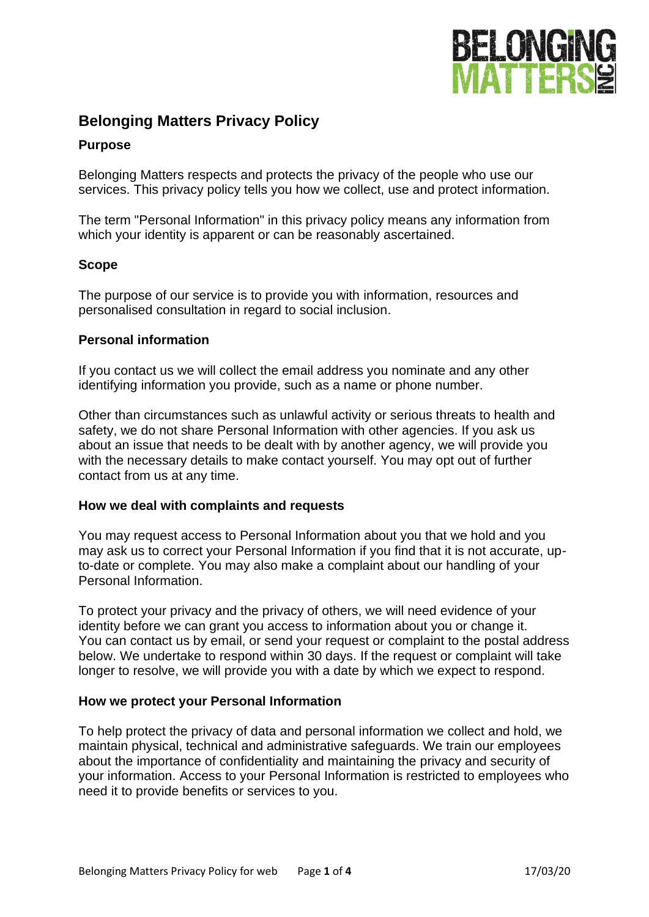

# **Belonging Matters Privacy Policy**

## **Purpose**

Belonging Matters respects and protects the privacy of the people who use our services. This privacy policy tells you how we collect, use and protect information.

The term "Personal Information" in this privacy policy means any information from which your identity is apparent or can be reasonably ascertained.

### **Scope**

The purpose of our service is to provide you with information, resources and personalised consultation in regard to social inclusion.

### **Personal information**

If you contact us we will collect the email address you nominate and any other identifying information you provide, such as a name or phone number.

Other than circumstances such as unlawful activity or serious threats to health and safety, we do not share Personal Information with other agencies. If you ask us about an issue that needs to be dealt with by another agency, we will provide you with the necessary details to make contact yourself. You may opt out of further contact from us at any time.

### **How we deal with complaints and requests**

You may request access to Personal Information about you that we hold and you may ask us to correct your Personal Information if you find that it is not accurate, upto-date or complete. You may also make a complaint about our handling of your Personal Information.

To protect your privacy and the privacy of others, we will need evidence of your identity before we can grant you access to information about you or change it. You can contact us by email, or send your request or complaint to the postal address below. We undertake to respond within 30 days. If the request or complaint will take longer to resolve, we will provide you with a date by which we expect to respond.

### **How we protect your Personal Information**

To help protect the privacy of data and personal information we collect and hold, we maintain physical, technical and administrative safeguards. We train our employees about the importance of confidentiality and maintaining the privacy and security of your information. Access to your Personal Information is restricted to employees who need it to provide benefits or services to you.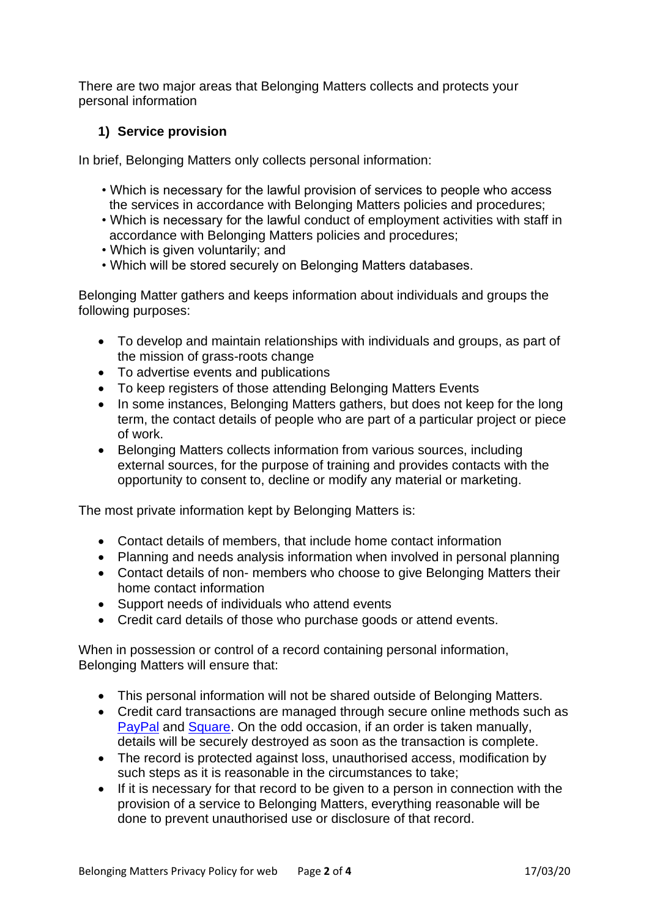There are two major areas that Belonging Matters collects and protects your personal information

# **1) Service provision**

In brief, Belonging Matters only collects personal information:

- Which is necessary for the lawful provision of services to people who access the services in accordance with Belonging Matters policies and procedures;
- Which is necessary for the lawful conduct of employment activities with staff in accordance with Belonging Matters policies and procedures;
- Which is given voluntarily; and
- Which will be stored securely on Belonging Matters databases.

Belonging Matter gathers and keeps information about individuals and groups the following purposes:

- To develop and maintain relationships with individuals and groups, as part of the mission of grass-roots change
- To advertise events and publications
- To keep registers of those attending Belonging Matters Events
- In some instances, Belonging Matters gathers, but does not keep for the long term, the contact details of people who are part of a particular project or piece of work.
- Belonging Matters collects information from various sources, including external sources, for the purpose of training and provides contacts with the opportunity to consent to, decline or modify any material or marketing.

The most private information kept by Belonging Matters is:

- Contact details of members, that include home contact information
- Planning and needs analysis information when involved in personal planning
- Contact details of non- members who choose to give Belonging Matters their home contact information
- Support needs of individuals who attend events
- Credit card details of those who purchase goods or attend events.

When in possession or control of a record containing personal information, Belonging Matters will ensure that:

- This personal information will not be shared outside of Belonging Matters.
- Credit card transactions are managed through secure online methods such as [PayPal](https://www.paypal.com/au/webapps/mpp/paypal-safety-and-security) and [Square.](https://squareup.com/au/en/security) On the odd occasion, if an order is taken manually, details will be securely destroyed as soon as the transaction is complete.
- The record is protected against loss, unauthorised access, modification by such steps as it is reasonable in the circumstances to take;
- If it is necessary for that record to be given to a person in connection with the provision of a service to Belonging Matters, everything reasonable will be done to prevent unauthorised use or disclosure of that record.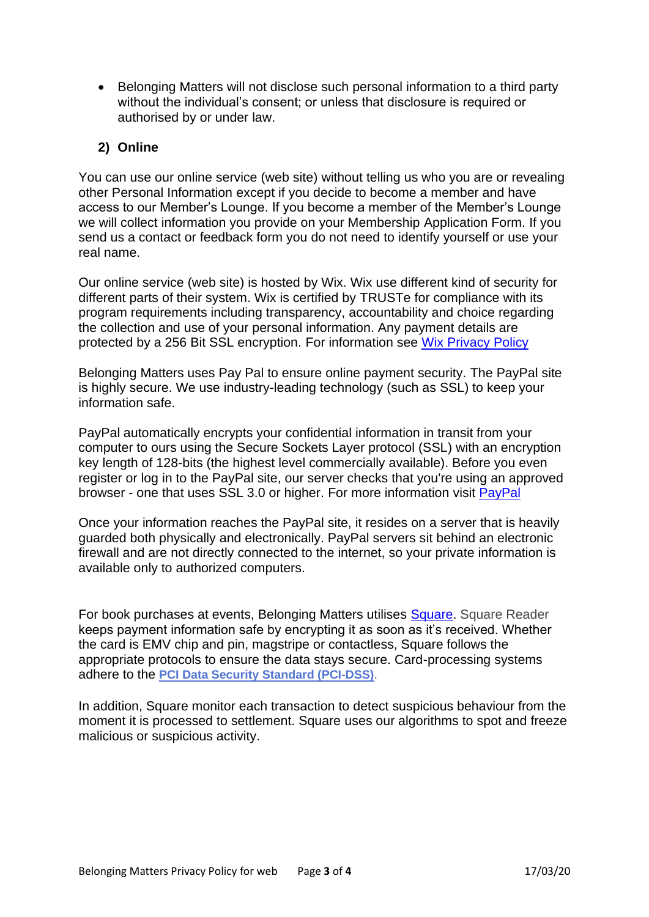• Belonging Matters will not disclose such personal information to a third party without the individual's consent; or unless that disclosure is required or authorised by or under law.

# **2) Online**

You can use our online service (web site) without telling us who you are or revealing other Personal Information except if you decide to become a member and have access to our Member's Lounge. If you become a member of the Member's Lounge we will collect information you provide on your Membership Application Form. If you send us a contact or feedback form you do not need to identify yourself or use your real name.

Our online service (web site) is hosted by Wix. Wix use different kind of security for different parts of their system. Wix is certified by [TRUSTe](http://www.truste.com/) for compliance with its program requirements including transparency, accountability and choice regarding the collection and use of your personal information. Any payment details are protected by a 256 Bit SSL encryption. For information see [Wix Privacy Policy](http://www.wix.com/about/privacy)

Belonging Matters uses Pay Pal to ensure online payment security. The PayPal site is highly secure. We use industry-leading technology (such as SSL) to keep your information safe.

PayPal automatically encrypts your confidential information in transit from your computer to ours using the Secure Sockets Layer protocol (SSL) with an encryption key length of 128-bits (the highest level commercially available). Before you even register or log in to the PayPal site, our server checks that you're using an approved browser - one that uses SSL 3.0 or higher. For more information visit [PayPal](https://www.paypal.com/cgi-bin/webscr?cmd=xpt/Help/general/TopQuestion6-outside)

Once your information reaches the PayPal site, it resides on a server that is heavily guarded both physically and electronically. PayPal servers sit behind an electronic firewall and are not directly connected to the internet, so your private information is available only to authorized computers.

For book purchases at events, Belonging Matters utilises [Square.](https://squareup.com/au/en/security) Square Reader keeps payment information safe by encrypting it as soon as it's received. Whether the card is EMV chip and pin, magstripe or contactless, Square follows the appropriate protocols to ensure the data stays secure. Card-processing systems adhere to the **PCI Data Security Standard [\(PCI-DSS\)](https://squareup.com/guides/pci-compliance)**.

In addition, Square monitor each transaction to detect suspicious behaviour from the moment it is processed to settlement. Square uses our algorithms to spot and freeze malicious or suspicious activity.